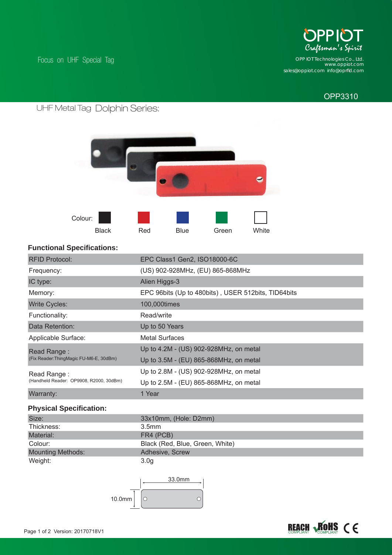

*www.oppiot.com sales@oppiot.com info@oprfi d.com OPP IOT Technologies Co., Ltd.*

# OPP3310

# Dolphin Series: UHF Metal Tag

Focus on UHF Special Tag



### **Functional Specifications:**

| <b>RFID Protocol:</b>                                 | EPC Class1 Gen2, ISO18000-6C                        |
|-------------------------------------------------------|-----------------------------------------------------|
| Frequency:                                            | (US) 902-928MHz, (EU) 865-868MHz                    |
| IC type:                                              | Alien Higgs-3                                       |
| Memory:                                               | EPC 96bits (Up to 480bits), USER 512bits, TID64bits |
| <b>Write Cycles:</b>                                  | 100,000times                                        |
| Functionality:                                        | Read/write                                          |
| Data Retention:                                       | Up to 50 Years                                      |
| Applicable Surface:                                   | <b>Metal Surfaces</b>                               |
| Read Range:                                           | Up to 4.2M - (US) 902-928MHz, on metal              |
| (Fix Reader:ThingMagic FU-M6-E, 30dBm)<br>Read Range: | Up to 3.5M - (EU) 865-868MHz, on metal              |
|                                                       | Up to 2.8M - (US) 902-928MHz, on metal              |
| (Handheld Reader: OP9908, R2000, 30dBm)               | Up to 2.5M - (EU) 865-868MHz, on metal              |
| Warranty:                                             | 1 Year                                              |
|                                                       |                                                     |

### **Physical Specification:**

| Size:                    | 33x10mm, (Hole: D2mm)           |
|--------------------------|---------------------------------|
| Thickness:               | 3.5mm                           |
| Material:                | FR4 (PCB)                       |
| Colour:                  | Black (Red, Blue, Green, White) |
| <b>Mounting Methods:</b> | Adhesive, Screw                 |
| Weight:                  | 3.0 <sub>g</sub>                |